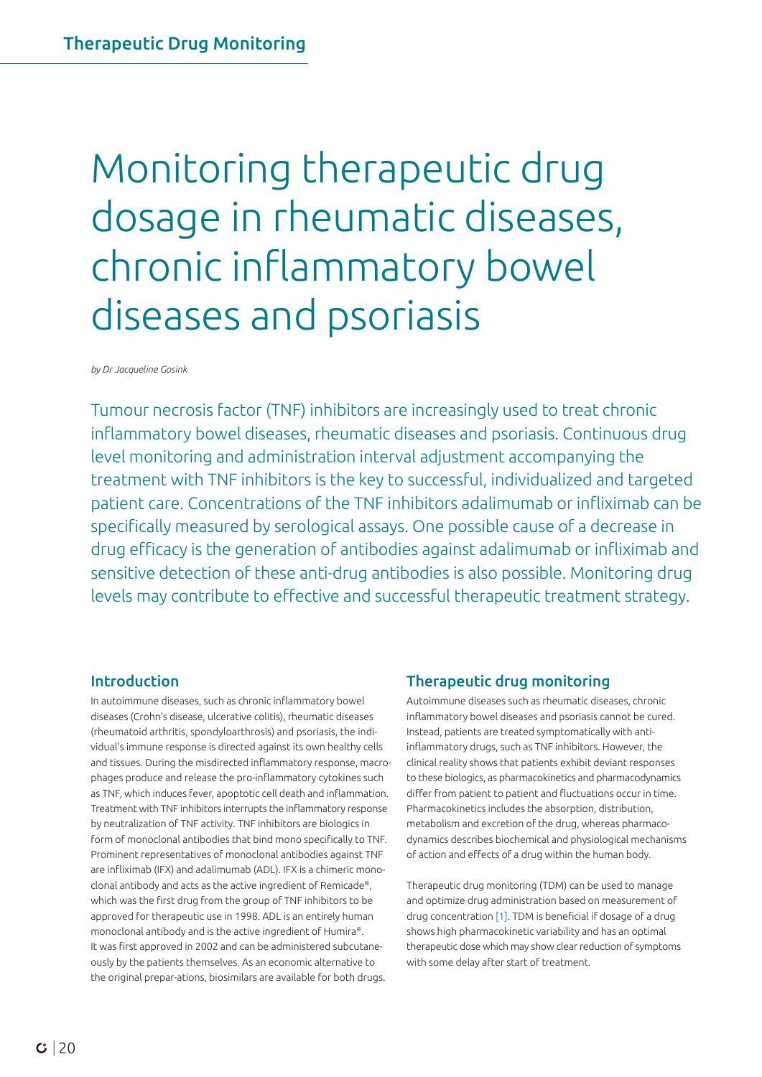# Monitoring therapeutic drug dosage in rheumatic diseases, chronic inflammatory bowel diseases and psoriasis

*by Dr Jacqueline Gosink*

Tumour necrosis factor (TNF) inhibitors are increasingly used to treat chronic inflammatory bowel diseases, rheumatic diseases and psoriasis. Continuous drug level monitoring and administration interval adjustment accompanying the treatment with TNF inhibitors is the key to successful, individualized and targeted patient care. Concentrations of the TNF inhibitors adalimumab or infliximab can be specifically measured by serological assays. One possible cause of a decrease in drug efficacy is the generation of antibodies against adalimumab or infliximab and sensitive detection of these anti-drug antibodies is also possible. Monitoring drug levels may contribute to effective and successful therapeutic treatment strategy.

## Introduction

In autoimmune diseases, such as chronic inflammatory bowel diseases (Crohn's disease, ulcerative colitis), rheumatic diseases (rheumatoid arthritis, spondyloarthrosis) and psoriasis, the individual's immune response is directed against its own healthy cells and tissues. During the misdirected inflammatory response, macrophages produce and release the pro-inflammatory cytokines such as TNF, which induces fever, apoptotic cell death and inflammation. Treatment with TNF inhibitors interrupts the inflammatory response by neutralization of TNF activity. TNF inhibitors are biologics in form of monoclonal antibodies that bind mono specifically to TNF. Prominent representatives of monoclonal antibodies against TNF are infliximab (IFX) and adalimumab (ADL). IFX is a chimeric monoclonal antibody and acts as the active ingredient of Remicade®, which was the first drug from the group of TNF inhibitors to be approved for therapeutic use in 1998. ADL is an entirely human monoclonal antibody and is the active ingredient of Humira®. It was first approved in 2002 and can be administered subcutaneously by the patients themselves. As an economic alternative to the original prepar-ations, biosimilars are available for both drugs.

# Therapeutic drug monitoring

Autoimmune diseases such as rheumatic diseases, chronic inflammatory bowel diseases and psoriasis cannot be cured. Instead, patients are treated symptomatically with antiinflammatory drugs, such as TNF inhibitors. However, the clinical reality shows that patients exhibit deviant responses to these biologics, as pharmacokinetics and pharmacodynamics differ from patient to patient and fluctuations occur in time. Pharmacokinetics includes the absorption, distribution, metabolism and excretion of the drug, whereas pharmacodynamics describes biochemical and physiological mechanisms of action and effects of a drug within the human body.

Therapeutic drug monitoring (TDM) can be used to manage and optimize drug administration based on measurement of drug concentration [1]. TDM is beneficial if dosage of a drug shows high pharmacokinetic variability and has an optimal therapeutic dose which may show clear reduction of symptoms with some delay after start of treatment.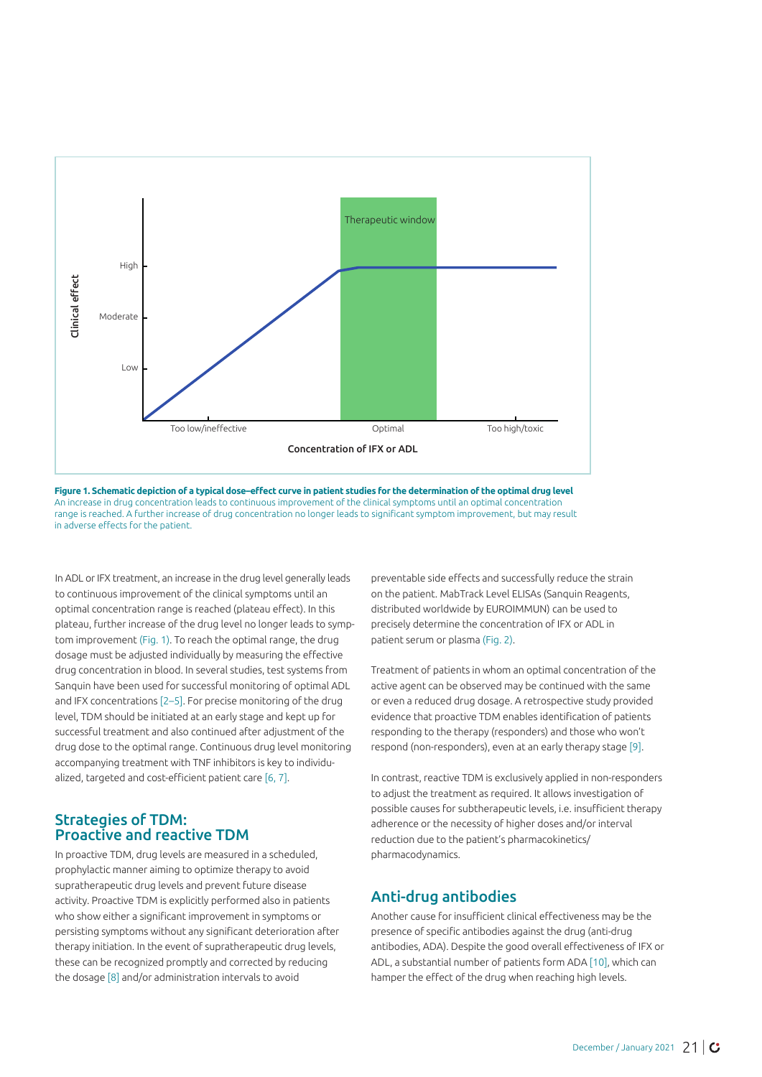



In ADL or IFX treatment, an increase in the drug level generally leads to continuous improvement of the clinical symptoms until an optimal concentration range is reached (plateau effect). In this plateau, further increase of the drug level no longer leads to symptom improvement (Fig. 1). To reach the optimal range, the drug dosage must be adjusted individually by measuring the effective drug concentration in blood. In several studies, test systems from Sanquin have been used for successful monitoring of optimal ADL and IFX concentrations [2–5]. For precise monitoring of the drug level, TDM should be initiated at an early stage and kept up for successful treatment and also continued after adjustment of the drug dose to the optimal range. Continuous drug level monitoring accompanying treatment with TNF inhibitors is key to individualized, targeted and cost-efficient patient care [6, 7].

## Strategies of TDM: Proactive and reactive TDM

In proactive TDM, drug levels are measured in a scheduled, prophylactic manner aiming to optimize therapy to avoid supratherapeutic drug levels and prevent future disease activity. Proactive TDM is explicitly performed also in patients who show either a significant improvement in symptoms or persisting symptoms without any significant deterioration after therapy initiation. In the event of supratherapeutic drug levels, these can be recognized promptly and corrected by reducing the dosage [8] and/or administration intervals to avoid

preventable side effects and successfully reduce the strain on the patient. MabTrack Level ELISAs (Sanquin Reagents, distributed worldwide by EUROIMMUN) can be used to precisely determine the concentration of IFX or ADL in patient serum or plasma (Fig. 2).

Treatment of patients in whom an optimal concentration of the active agent can be observed may be continued with the same or even a reduced drug dosage. A retrospective study provided evidence that proactive TDM enables identification of patients responding to the therapy (responders) and those who won't respond (non-responders), even at an early therapy stage [9].

In contrast, reactive TDM is exclusively applied in non-responders to adjust the treatment as required. It allows investigation of possible causes for subtherapeutic levels, i.e. insufficient therapy adherence or the necessity of higher doses and/or interval reduction due to the patient's pharmacokinetics/ pharmacodynamics.

# Anti-drug antibodies

Another cause for insufficient clinical effectiveness may be the presence of specific antibodies against the drug (anti-drug antibodies, ADA). Despite the good overall effectiveness of IFX or ADL, a substantial number of patients form ADA [10], which can hamper the effect of the drug when reaching high levels.